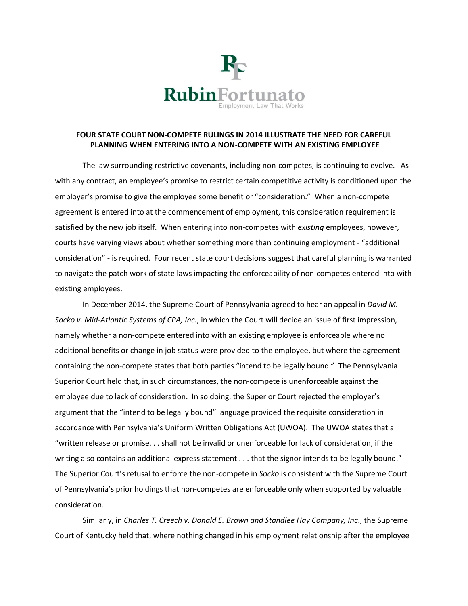

## **FOUR STATE COURT NON-COMPETE RULINGS IN 2014 ILLUSTRATE THE NEED FOR CAREFUL PLANNING WHEN ENTERING INTO A NON-COMPETE WITH AN EXISTING EMPLOYEE**

The law surrounding restrictive covenants, including non-competes, is continuing to evolve. As with any contract, an employee's promise to restrict certain competitive activity is conditioned upon the employer's promise to give the employee some benefit or "consideration." When a non-compete agreement is entered into at the commencement of employment, this consideration requirement is satisfied by the new job itself. When entering into non-competes with *existing* employees, however, courts have varying views about whether something more than continuing employment - "additional consideration" - is required. Four recent state court decisions suggest that careful planning is warranted to navigate the patch work of state laws impacting the enforceability of non-competes entered into with existing employees.

In December 2014, the Supreme Court of Pennsylvania agreed to hear an appeal in *David M. Socko v. Mid-Atlantic Systems of CPA, Inc.*, in which the Court will decide an issue of first impression, namely whether a non-compete entered into with an existing employee is enforceable where no additional benefits or change in job status were provided to the employee, but where the agreement containing the non-compete states that both parties "intend to be legally bound." The Pennsylvania Superior Court held that, in such circumstances, the non-compete is unenforceable against the employee due to lack of consideration. In so doing, the Superior Court rejected the employer's argument that the "intend to be legally bound" language provided the requisite consideration in accordance with Pennsylvania's Uniform Written Obligations Act (UWOA). The UWOA states that a "written release or promise. . . shall not be invalid or unenforceable for lack of consideration, if the writing also contains an additional express statement . . . that the signor intends to be legally bound." The Superior Court's refusal to enforce the non-compete in *Socko* is consistent with the Supreme Court of Pennsylvania's prior holdings that non-competes are enforceable only when supported by valuable consideration.

Similarly, in *Charles T. Creech v. Donald E. Brown and Standlee Hay Company, Inc*., the Supreme Court of Kentucky held that, where nothing changed in his employment relationship after the employee